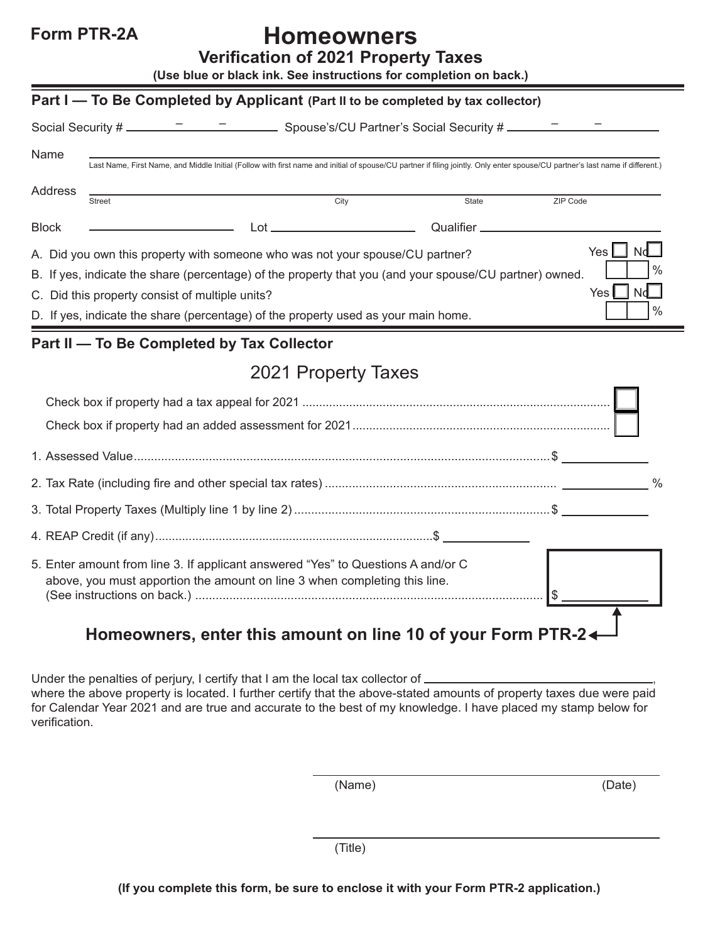## **Form PTR-2A Homeowners**

**Verification of 2021 Property Taxes**

|--|

| Part I – To Be Completed by Applicant (Part II to be completed by tax collector)                                                                                                                                                                                                                                                                                                      |                                                                                                                                                                                                                                                                                                                                                                                                                                                                         |              |          |  |
|---------------------------------------------------------------------------------------------------------------------------------------------------------------------------------------------------------------------------------------------------------------------------------------------------------------------------------------------------------------------------------------|-------------------------------------------------------------------------------------------------------------------------------------------------------------------------------------------------------------------------------------------------------------------------------------------------------------------------------------------------------------------------------------------------------------------------------------------------------------------------|--------------|----------|--|
|                                                                                                                                                                                                                                                                                                                                                                                       |                                                                                                                                                                                                                                                                                                                                                                                                                                                                         |              |          |  |
| Name<br>Last Name, First Name, and Middle Initial (Follow with first name and initial of spouse/CU partner if filing jointly. Only enter spouse/CU partner's last name if different.)                                                                                                                                                                                                 |                                                                                                                                                                                                                                                                                                                                                                                                                                                                         |              |          |  |
| Address                                                                                                                                                                                                                                                                                                                                                                               | City<br><b>Street</b>                                                                                                                                                                                                                                                                                                                                                                                                                                                   | <b>State</b> | ZIP Code |  |
| <b>Block</b>                                                                                                                                                                                                                                                                                                                                                                          | $Lot$ $\overline{\phantom{a}}$ $\overline{\phantom{a}}$ $\overline{\phantom{a}}$ $\overline{\phantom{a}}$ $\overline{\phantom{a}}$ $\overline{\phantom{a}}$ $\overline{\phantom{a}}$ $\overline{\phantom{a}}$ $\overline{\phantom{a}}$ $\overline{\phantom{a}}$ $\overline{\phantom{a}}$ $\overline{\phantom{a}}$ $\overline{\phantom{a}}$ $\overline{\phantom{a}}$ $\overline{\phantom{a}}$ $\overline{\phantom{a}}$ $\overline{\phantom{a}}$ $\overline{\phantom{a}}$ |              |          |  |
| Yes  <br>A. Did you own this property with someone who was not your spouse/CU partner?<br>B. If yes, indicate the share (percentage) of the property that you (and your spouse/CU partner) owned.<br>Yes <sub>l</sub><br>Nd<br>C. Did this property consist of multiple units?<br>$\frac{0}{0}$<br>D. If yes, indicate the share (percentage) of the property used as your main home. |                                                                                                                                                                                                                                                                                                                                                                                                                                                                         |              |          |  |
| Part II - To Be Completed by Tax Collector                                                                                                                                                                                                                                                                                                                                            |                                                                                                                                                                                                                                                                                                                                                                                                                                                                         |              |          |  |
| 2021 Property Taxes                                                                                                                                                                                                                                                                                                                                                                   |                                                                                                                                                                                                                                                                                                                                                                                                                                                                         |              |          |  |
|                                                                                                                                                                                                                                                                                                                                                                                       |                                                                                                                                                                                                                                                                                                                                                                                                                                                                         |              |          |  |
|                                                                                                                                                                                                                                                                                                                                                                                       |                                                                                                                                                                                                                                                                                                                                                                                                                                                                         |              |          |  |
|                                                                                                                                                                                                                                                                                                                                                                                       |                                                                                                                                                                                                                                                                                                                                                                                                                                                                         |              |          |  |
|                                                                                                                                                                                                                                                                                                                                                                                       |                                                                                                                                                                                                                                                                                                                                                                                                                                                                         |              |          |  |
|                                                                                                                                                                                                                                                                                                                                                                                       |                                                                                                                                                                                                                                                                                                                                                                                                                                                                         |              |          |  |
|                                                                                                                                                                                                                                                                                                                                                                                       |                                                                                                                                                                                                                                                                                                                                                                                                                                                                         |              |          |  |
|                                                                                                                                                                                                                                                                                                                                                                                       | 5. Enter amount from line 3. If applicant answered "Yes" to Questions A and/or C<br>above, you must apportion the amount on line 3 when completing this line.<br>Hamaawnara, antar thio amaunt an lina 40 of your Earm                                                                                                                                                                                                                                                  |              |          |  |

## **Homeowners, enter this amount on line 10 of your Form PTR-2**

Under the penalties of perjury, I certify that I am the local tax collector of  $\equiv$ where the above property is located. I further certify that the above-stated amounts of property taxes due were paid for Calendar Year 2021 and are true and accurate to the best of my knowledge. I have placed my stamp below for verification.

(Name) (Date)

(Title)

**(If you complete this form, be sure to enclose it with your Form PTR-2 application.)**